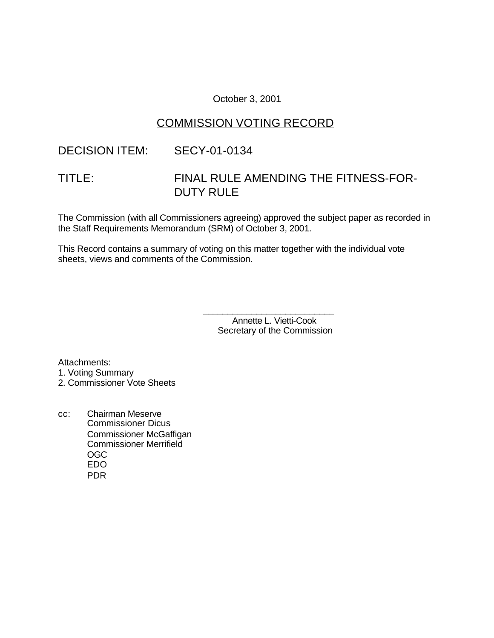### October 3, 2001

## COMMISSION VOTING RECORD

### DECISION ITEM: SECY-01-0134

# TITLE: FINAL RULE AMENDING THE FITNESS-FOR-DUTY RULE

The Commission (with all Commissioners agreeing) approved the subject paper as recorded in the Staff Requirements Memorandum (SRM) of October 3, 2001.

This Record contains a summary of voting on this matter together with the individual vote sheets, views and comments of the Commission.

> Annette L. Vietti-Cook Secretary of the Commission

\_\_\_\_\_\_\_\_\_\_\_\_\_\_\_\_\_\_\_\_\_\_\_\_\_\_\_

Attachments: 1. Voting Summary

2. Commissioner Vote Sheets

cc: Chairman Meserve Commissioner Dicus Commissioner McGaffigan Commissioner Merrifield OGC EDO PDR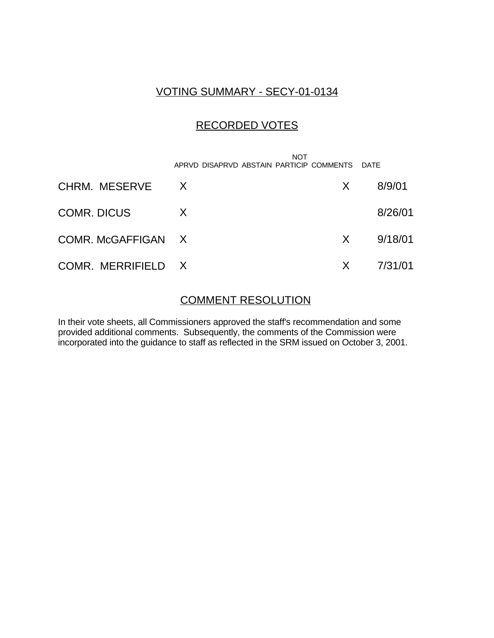# VOTING SUMMARY - SECY-01-0134

# RECORDED VOTES

|                    | <b>NOT</b><br>APRVD DISAPRVD ABSTAIN PARTICIP COMMENTS DATE |         |         |
|--------------------|-------------------------------------------------------------|---------|---------|
| CHRM. MESERVE      | $\mathsf{X}$                                                | X       | 8/9/01  |
| <b>COMR. DICUS</b> | X                                                           |         | 8/26/01 |
| COMR. McGAFFIGAN X |                                                             | X       | 9/18/01 |
| COMR. MERRIFIELD X |                                                             | $\sf X$ | 7/31/01 |

### COMMENT RESOLUTION

In their vote sheets, all Commissioners approved the staff's recommendation and some provided additional comments. Subsequently, the comments of the Commission were incorporated into the guidance to staff as reflected in the SRM issued on October 3, 2001.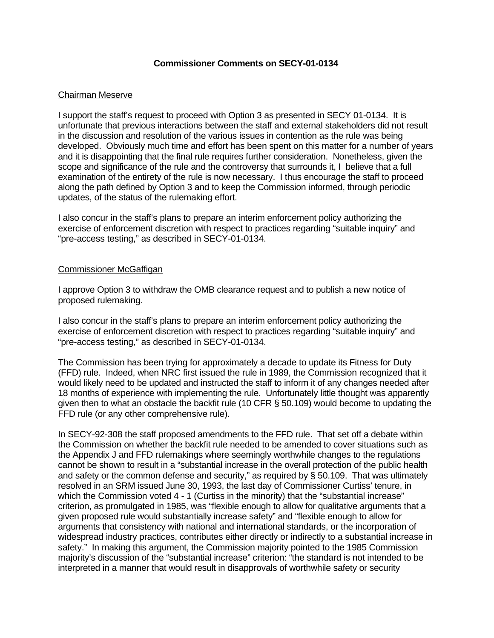### **Commissioner Comments on SECY-01-0134**

### Chairman Meserve

I support the staff's request to proceed with Option 3 as presented in SECY 01-0134. It is unfortunate that previous interactions between the staff and external stakeholders did not result in the discussion and resolution of the various issues in contention as the rule was being developed. Obviously much time and effort has been spent on this matter for a number of years and it is disappointing that the final rule requires further consideration. Nonetheless, given the scope and significance of the rule and the controversy that surrounds it, I believe that a full examination of the entirety of the rule is now necessary. I thus encourage the staff to proceed along the path defined by Option 3 and to keep the Commission informed, through periodic updates, of the status of the rulemaking effort.

I also concur in the staff's plans to prepare an interim enforcement policy authorizing the exercise of enforcement discretion with respect to practices regarding "suitable inquiry" and "pre-access testing," as described in SECY-01-0134.

### Commissioner McGaffigan

I approve Option 3 to withdraw the OMB clearance request and to publish a new notice of proposed rulemaking.

I also concur in the staff's plans to prepare an interim enforcement policy authorizing the exercise of enforcement discretion with respect to practices regarding "suitable inquiry" and "pre-access testing," as described in SECY-01-0134.

The Commission has been trying for approximately a decade to update its Fitness for Duty (FFD) rule. Indeed, when NRC first issued the rule in 1989, the Commission recognized that it would likely need to be updated and instructed the staff to inform it of any changes needed after 18 months of experience with implementing the rule. Unfortunately little thought was apparently given then to what an obstacle the backfit rule (10 CFR § 50.109) would become to updating the FFD rule (or any other comprehensive rule).

In SECY-92-308 the staff proposed amendments to the FFD rule. That set off a debate within the Commission on whether the backfit rule needed to be amended to cover situations such as the Appendix J and FFD rulemakings where seemingly worthwhile changes to the regulations cannot be shown to result in a "substantial increase in the overall protection of the public health and safety or the common defense and security," as required by § 50.109. That was ultimately resolved in an SRM issued June 30, 1993, the last day of Commissioner Curtiss' tenure, in which the Commission voted 4 - 1 (Curtiss in the minority) that the "substantial increase" criterion, as promulgated in 1985, was "flexible enough to allow for qualitative arguments that a given proposed rule would substantially increase safety" and "flexible enough to allow for arguments that consistency with national and international standards, or the incorporation of widespread industry practices, contributes either directly or indirectly to a substantial increase in safety." In making this argument, the Commission majority pointed to the 1985 Commission majority's discussion of the "substantial increase" criterion: "the standard is not intended to be interpreted in a manner that would result in disapprovals of worthwhile safety or security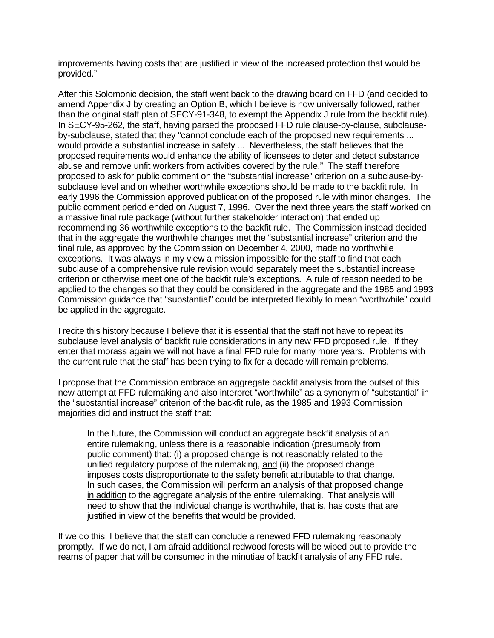improvements having costs that are justified in view of the increased protection that would be provided."

After this Solomonic decision, the staff went back to the drawing board on FFD (and decided to amend Appendix J by creating an Option B, which I believe is now universally followed, rather than the original staff plan of SECY-91-348, to exempt the Appendix J rule from the backfit rule). In SECY-95-262, the staff, having parsed the proposed FFD rule clause-by-clause, subclauseby-subclause, stated that they "cannot conclude each of the proposed new requirements ... would provide a substantial increase in safety ... Nevertheless, the staff believes that the proposed requirements would enhance the ability of licensees to deter and detect substance abuse and remove unfit workers from activities covered by the rule." The staff therefore proposed to ask for public comment on the "substantial increase" criterion on a subclause-bysubclause level and on whether worthwhile exceptions should be made to the backfit rule. In early 1996 the Commission approved publication of the proposed rule with minor changes. The public comment period ended on August 7, 1996. Over the next three years the staff worked on a massive final rule package (without further stakeholder interaction) that ended up recommending 36 worthwhile exceptions to the backfit rule. The Commission instead decided that in the aggregate the worthwhile changes met the "substantial increase" criterion and the final rule, as approved by the Commission on December 4, 2000, made no worthwhile exceptions. It was always in my view a mission impossible for the staff to find that each subclause of a comprehensive rule revision would separately meet the substantial increase criterion or otherwise meet one of the backfit rule's exceptions. A rule of reason needed to be applied to the changes so that they could be considered in the aggregate and the 1985 and 1993 Commission guidance that "substantial" could be interpreted flexibly to mean "worthwhile" could be applied in the aggregate.

I recite this history because I believe that it is essential that the staff not have to repeat its subclause level analysis of backfit rule considerations in any new FFD proposed rule. If they enter that morass again we will not have a final FFD rule for many more years. Problems with the current rule that the staff has been trying to fix for a decade will remain problems.

I propose that the Commission embrace an aggregate backfit analysis from the outset of this new attempt at FFD rulemaking and also interpret "worthwhile" as a synonym of "substantial" in the "substantial increase" criterion of the backfit rule, as the 1985 and 1993 Commission majorities did and instruct the staff that:

In the future, the Commission will conduct an aggregate backfit analysis of an entire rulemaking, unless there is a reasonable indication (presumably from public comment) that: (i) a proposed change is not reasonably related to the unified regulatory purpose of the rulemaking, and (ii) the proposed change imposes costs disproportionate to the safety benefit attributable to that change. In such cases, the Commission will perform an analysis of that proposed change in addition to the aggregate analysis of the entire rulemaking. That analysis will need to show that the individual change is worthwhile, that is, has costs that are justified in view of the benefits that would be provided.

If we do this, I believe that the staff can conclude a renewed FFD rulemaking reasonably promptly. If we do not, I am afraid additional redwood forests will be wiped out to provide the reams of paper that will be consumed in the minutiae of backfit analysis of any FFD rule.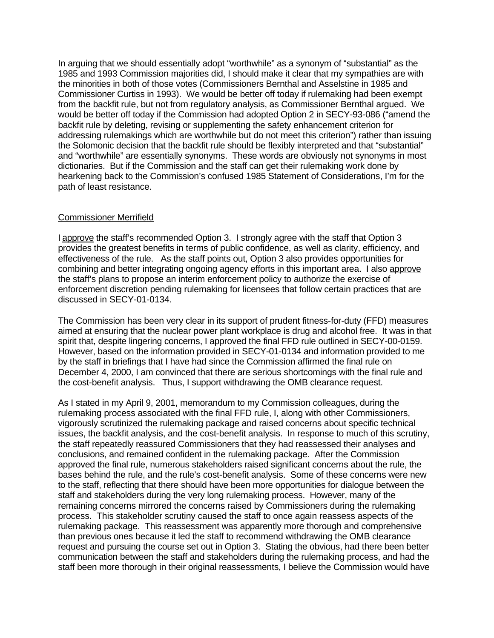In arguing that we should essentially adopt "worthwhile" as a synonym of "substantial" as the 1985 and 1993 Commission majorities did, I should make it clear that my sympathies are with the minorities in both of those votes (Commissioners Bernthal and Asselstine in 1985 and Commissioner Curtiss in 1993). We would be better off today if rulemaking had been exempt from the backfit rule, but not from regulatory analysis, as Commissioner Bernthal argued. We would be better off today if the Commission had adopted Option 2 in SECY-93-086 ("amend the backfit rule by deleting, revising or supplementing the safety enhancement criterion for addressing rulemakings which are worthwhile but do not meet this criterion") rather than issuing the Solomonic decision that the backfit rule should be flexibly interpreted and that "substantial" and "worthwhile" are essentially synonyms. These words are obviously not synonyms in most dictionaries. But if the Commission and the staff can get their rulemaking work done by hearkening back to the Commission's confused 1985 Statement of Considerations, I'm for the path of least resistance.

### Commissioner Merrifield

I approve the staff's recommended Option 3. I strongly agree with the staff that Option 3 provides the greatest benefits in terms of public confidence, as well as clarity, efficiency, and effectiveness of the rule. As the staff points out, Option 3 also provides opportunities for combining and better integrating ongoing agency efforts in this important area. I also approve the staff's plans to propose an interim enforcement policy to authorize the exercise of enforcement discretion pending rulemaking for licensees that follow certain practices that are discussed in SECY-01-0134.

The Commission has been very clear in its support of prudent fitness-for-duty (FFD) measures aimed at ensuring that the nuclear power plant workplace is drug and alcohol free. It was in that spirit that, despite lingering concerns, I approved the final FFD rule outlined in SECY-00-0159. However, based on the information provided in SECY-01-0134 and information provided to me by the staff in briefings that I have had since the Commission affirmed the final rule on December 4, 2000, I am convinced that there are serious shortcomings with the final rule and the cost-benefit analysis. Thus, I support withdrawing the OMB clearance request.

As I stated in my April 9, 2001, memorandum to my Commission colleagues, during the rulemaking process associated with the final FFD rule, I, along with other Commissioners, vigorously scrutinized the rulemaking package and raised concerns about specific technical issues, the backfit analysis, and the cost-benefit analysis. In response to much of this scrutiny, the staff repeatedly reassured Commissioners that they had reassessed their analyses and conclusions, and remained confident in the rulemaking package. After the Commission approved the final rule, numerous stakeholders raised significant concerns about the rule, the bases behind the rule, and the rule's cost-benefit analysis. Some of these concerns were new to the staff, reflecting that there should have been more opportunities for dialogue between the staff and stakeholders during the very long rulemaking process. However, many of the remaining concerns mirrored the concerns raised by Commissioners during the rulemaking process. This stakeholder scrutiny caused the staff to once again reassess aspects of the rulemaking package. This reassessment was apparently more thorough and comprehensive than previous ones because it led the staff to recommend withdrawing the OMB clearance request and pursuing the course set out in Option 3. Stating the obvious, had there been better communication between the staff and stakeholders during the rulemaking process, and had the staff been more thorough in their original reassessments, I believe the Commission would have